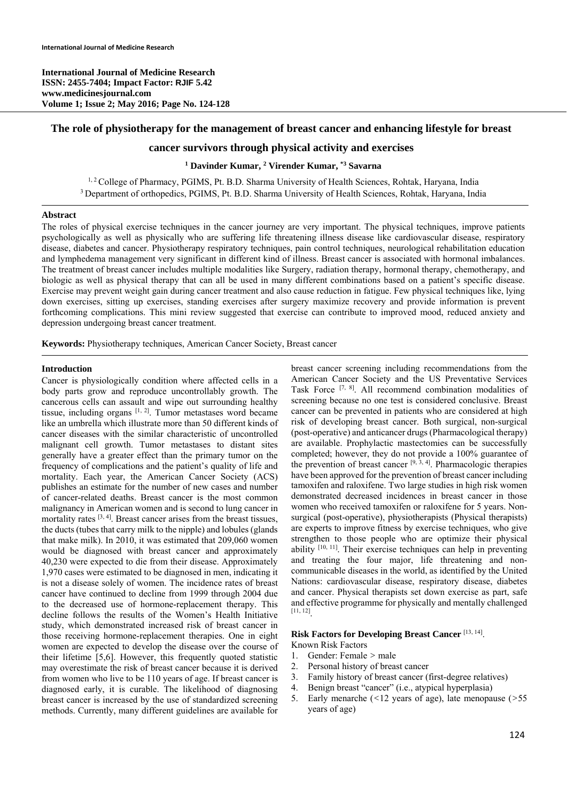## **The role of physiotherapy for the management of breast cancer and enhancing lifestyle for breast**

# **cancer survivors through physical activity and exercises**

#### **1 Davinder Kumar, 2 Virender Kumar, \*3 Savarna**

<sup>1, 2</sup> College of Pharmacy, PGIMS, Pt. B.D. Sharma University of Health Sciences, Rohtak, Haryana, India <sup>3</sup> Department of orthopedics, PGIMS, Pt. B.D. Sharma University of Health Sciences, Rohtak, Haryana, India

#### **Abstract**

The roles of physical exercise techniques in the cancer journey are very important. The physical techniques, improve patients psychologically as well as physically who are suffering life threatening illness disease like cardiovascular disease, respiratory disease, diabetes and cancer. Physiotherapy respiratory techniques, pain control techniques, neurological rehabilitation education and lymphedema management very significant in different kind of illness. Breast cancer is associated with hormonal imbalances. The treatment of breast cancer includes multiple modalities like Surgery, radiation therapy, hormonal therapy, chemotherapy, and biologic as well as physical therapy that can all be used in many different combinations based on a patient's specific disease. Exercise may prevent weight gain during cancer treatment and also cause reduction in fatigue. Few physical techniques like, lying down exercises, sitting up exercises, standing exercises after surgery maximize recovery and provide information is prevent forthcoming complications. This mini review suggested that exercise can contribute to improved mood, reduced anxiety and depression undergoing breast cancer treatment.

**Keywords:** Physiotherapy techniques, American Cancer Society, Breast cancer

## **Introduction**

Cancer is physiologically condition where affected cells in a body parts grow and reproduce uncontrollably growth. The cancerous cells can assault and wipe out surrounding healthy tissue, including organs  $[1, 2]$ . Tumor metastases word became like an umbrella which illustrate more than 50 different kinds of cancer diseases with the similar characteristic of uncontrolled malignant cell growth. Tumor metastases to distant sites generally have a greater effect than the primary tumor on the frequency of complications and the patient's quality of life and mortality. Each year, the American Cancer Society (ACS) publishes an estimate for the number of new cases and number of cancer-related deaths. Breast cancer is the most common malignancy in American women and is second to lung cancer in mortality rates  $[3, 4]$ . Breast cancer arises from the breast tissues, the ducts (tubes that carry milk to the nipple) and lobules (glands that make milk). In 2010, it was estimated that 209,060 women would be diagnosed with breast cancer and approximately 40,230 were expected to die from their disease. Approximately 1,970 cases were estimated to be diagnosed in men, indicating it is not a disease solely of women. The incidence rates of breast cancer have continued to decline from 1999 through 2004 due to the decreased use of hormone-replacement therapy. This decline follows the results of the Women's Health Initiative study, which demonstrated increased risk of breast cancer in those receiving hormone-replacement therapies. One in eight women are expected to develop the disease over the course of their lifetime [5,6]. However, this frequently quoted statistic may overestimate the risk of breast cancer because it is derived from women who live to be 110 years of age. If breast cancer is diagnosed early, it is curable. The likelihood of diagnosing breast cancer is increased by the use of standardized screening methods. Currently, many different guidelines are available for

breast cancer screening including recommendations from the American Cancer Society and the US Preventative Services Task Force [7, 8]. All recommend combination modalities of screening because no one test is considered conclusive. Breast cancer can be prevented in patients who are considered at high risk of developing breast cancer. Both surgical, non-surgical (post-operative) and anticancer drugs (Pharmacological therapy) are available. Prophylactic mastectomies can be successfully completed; however, they do not provide a 100% guarantee of the prevention of breast cancer  $[9, 3, 4]$ . Pharmacologic therapies have been approved for the prevention of breast cancer including tamoxifen and raloxifene. Two large studies in high risk women demonstrated decreased incidences in breast cancer in those women who received tamoxifen or raloxifene for 5 years. Nonsurgical (post-operative), physiotherapists (Physical therapists) are experts to improve fitness by exercise techniques, who give strengthen to those people who are optimize their physical ability [10, 11]. Their exercise techniques can help in preventing and treating the four major, life threatening and noncommunicable diseases in the world, as identified by the United Nations: cardiovascular disease, respiratory disease, diabetes and cancer. Physical therapists set down exercise as part, safe and effective programme for physically and mentally challenged [11, 12].

## **Risk Factors for Developing Breast Cancer** [13, 14].

- Known Risk Factors
- 1. Gender: Female *>* male
- 2. Personal history of breast cancer
- 3. Family history of breast cancer (first-degree relatives)
- 4. Benign breast "cancer" (i.e., atypical hyperplasia)
- 5. Early menarche (*<*12 years of age), late menopause (*>*55 years of age)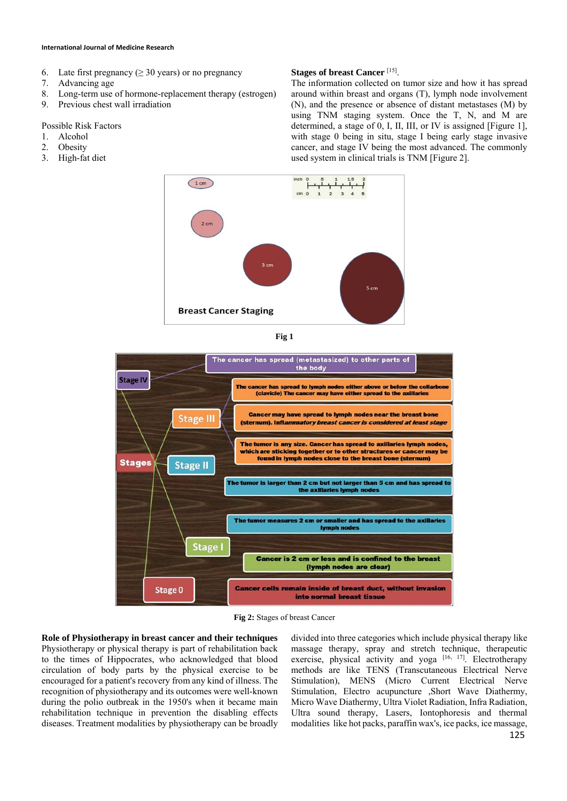#### **International Journal of Medicine Research**

- 6. Late first pregnancy ( $\geq$  30 years) or no pregnancy
- 7. Advancing age
- 8. Long-term use of hormone-replacement therapy (estrogen)
- 9. Previous chest wall irradiation

#### Possible Risk Factors

- 1. Alcohol
- 2. Obesity
- 3. High-fat diet

#### **Stages of breast Cancer** [15].

The information collected on tumor size and how it has spread around within breast and organs (T), lymph node involvement (N), and the presence or absence of distant metastases (M) by using TNM staging system. Once the T, N, and M are determined, a stage of 0, I, II, III, or IV is assigned [Figure 1], with stage 0 being in situ, stage I being early stage invasive cancer, and stage IV being the most advanced. The commonly used system in clinical trials is TNM [Figure 2].







**Fig 2:** Stages of breast Cancer

**Role of Physiotherapy in breast cancer and their techniques**  Physiotherapy or physical therapy is part of rehabilitation back to the times of Hippocrates, who acknowledged that blood circulation of body parts by the physical exercise to be encouraged for a patient's recovery from any kind of illness. The recognition of physiotherapy and its outcomes were well-known during the polio outbreak in the 1950's when it became main rehabilitation technique in prevention the disabling effects diseases. Treatment modalities by physiotherapy can be broadly

divided into three categories which include physical therapy like massage therapy, spray and stretch technique, therapeutic exercise, physical activity and yoga<sup>[16, 17]</sup>. Electrotherapy methods are like TENS (Transcutaneous Electrical Nerve Stimulation), MENS (Micro Current Electrical Nerve Stimulation, Electro acupuncture ,Short Wave Diathermy, Micro Wave Diathermy, Ultra Violet Radiation, Infra Radiation, Ultra sound therapy, Lasers, Iontophoresis and thermal modalities like hot packs, paraffin wax's, ice packs, ice massage,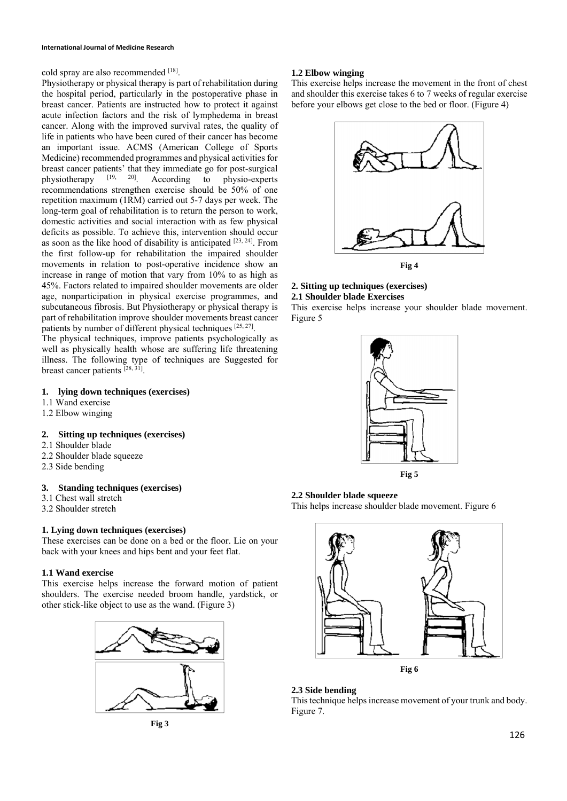cold spray are also recommended [18].

Physiotherapy or physical therapy is part of rehabilitation during the hospital period, particularly in the postoperative phase in breast cancer. Patients are instructed how to protect it against acute infection factors and the risk of lymphedema in breast cancer. Along with the improved survival rates, the quality of life in patients who have been cured of their cancer has become an important issue. ACMS (American College of Sports Medicine) recommended programmes and physical activities for breast cancer patients' that they immediate go for post-surgical<br>physiotherapy  $[19, 20]$  According to physio-experts physiotherapy [19, 20]. According to physio-experts recommendations strengthen exercise should be 50% of one repetition maximum (1RM) carried out 5-7 days per week. The long-term goal of rehabilitation is to return the person to work, domestic activities and social interaction with as few physical deficits as possible. To achieve this, intervention should occur as soon as the like hood of disability is anticipated [23, 24]. From the first follow-up for rehabilitation the impaired shoulder movements in relation to post-operative incidence show an increase in range of motion that vary from 10% to as high as 45%. Factors related to impaired shoulder movements are older age, nonparticipation in physical exercise programmes, and subcutaneous fibrosis. But Physiotherapy or physical therapy is part of rehabilitation improve shoulder movements breast cancer patients by number of different physical techniques [25, 27].

The physical techniques, improve patients psychologically as well as physically health whose are suffering life threatening illness. The following type of techniques are Suggested for breast cancer patients [28, 31].

# **1. lying down techniques (exercises)**

- 1.1 Wand exercise
- 1.2 Elbow winging

**2. Sitting up techniques (exercises)** 

- 2.1 Shoulder blade
- 2.2 Shoulder blade squeeze
- 2.3 Side bending

## **3. Standing techniques (exercises)**

- 3.1 Chest wall stretch
- 3.2 Shoulder stretch

# **1. Lying down techniques (exercises)**

These exercises can be done on a bed or the floor. Lie on your back with your knees and hips bent and your feet flat.

## **1.1 Wand exercise**

This exercise helps increase the forward motion of patient shoulders. The exercise needed broom handle, yardstick, or other stick-like object to use as the wand. (Figure 3)





# **1.2 Elbow winging**

This exercise helps increase the movement in the front of chest and shoulder this exercise takes 6 to 7 weeks of regular exercise before your elbows get close to the bed or floor. (Figure 4)



#### **2. Sitting up techniques (exercises) 2.1 Shoulder blade Exercises**

This exercise helps increase your shoulder blade movement. Figure 5





## **2.2 Shoulder blade squeeze**

This helps increase shoulder blade movement. Figure 6



# **2.3 Side bending**

This technique helps increase movement of your trunk and body. Figure 7.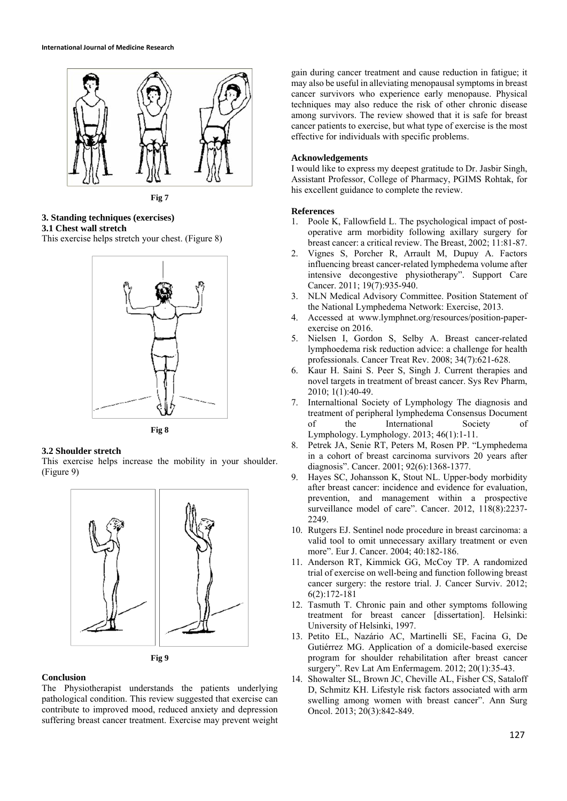

**Fig 7** 

# **3. Standing techniques (exercises) 3.1 Chest wall stretch**

This exercise helps stretch your chest. (Figure 8)



**Fig 8** 

#### **3.2 Shoulder stretch**

This exercise helps increase the mobility in your shoulder. (Figure 9)





#### **Conclusion**

The Physiotherapist understands the patients underlying pathological condition. This review suggested that exercise can contribute to improved mood, reduced anxiety and depression suffering breast cancer treatment. Exercise may prevent weight gain during cancer treatment and cause reduction in fatigue; it may also be useful in alleviating menopausal symptoms in breast cancer survivors who experience early menopause. Physical techniques may also reduce the risk of other chronic disease among survivors. The review showed that it is safe for breast cancer patients to exercise, but what type of exercise is the most effective for individuals with specific problems.

#### **Acknowledgements**

I would like to express my deepest gratitude to Dr. Jasbir Singh, Assistant Professor, College of Pharmacy, PGIMS Rohtak, for his excellent guidance to complete the review.

#### **References**

- 1. Poole K, Fallowfield L. The psychological impact of postoperative arm morbidity following axillary surgery for breast cancer: a critical review. The Breast, 2002; 11:81-87.
- 2. Vignes S, Porcher R, Arrault M, Dupuy A. Factors influencing breast cancer-related lymphedema volume after intensive decongestive physiotherapy". Support Care Cancer. 2011; 19(7):935-940.
- 3. NLN Medical Advisory Committee. Position Statement of the National Lymphedema Network: Exercise, 2013.
- 4. Accessed at www.lymphnet.org/resources/position-paperexercise on 2016.
- 5. Nielsen I, Gordon S, Selby A. Breast cancer-related lymphoedema risk reduction advice: a challenge for health professionals. Cancer Treat Rev. 2008; 34(7):621-628.
- 6. Kaur H. Saini S. Peer S, Singh J. Current therapies and novel targets in treatment of breast cancer. Sys Rev Pharm, 2010; 1(1):40-49.
- 7. Internaltional Society of Lymphology The diagnosis and treatment of peripheral lymphedema Consensus Document of the International Society of Lymphology. Lymphology. 2013; 46(1):1-11.
- 8. Petrek JA, Senie RT, Peters M, Rosen PP. "Lymphedema in a cohort of breast carcinoma survivors 20 years after diagnosis". Cancer. 2001; 92(6):1368-1377.
- 9. Hayes SC, Johansson K, Stout NL. Upper-body morbidity after breast cancer: incidence and evidence for evaluation, prevention, and management within a prospective surveillance model of care". Cancer. 2012, 118(8):2237- 2249.
- 10. Rutgers EJ. Sentinel node procedure in breast carcinoma: a valid tool to omit unnecessary axillary treatment or even more". Eur J. Cancer. 2004; 40:182-186.
- 11. Anderson RT, Kimmick GG, McCoy TP. A randomized trial of exercise on well-being and function following breast cancer surgery: the restore trial. J. Cancer Surviv. 2012; 6(2):172-181
- 12. Tasmuth T. Chronic pain and other symptoms following treatment for breast cancer [dissertation]. Helsinki: University of Helsinki, 1997.
- 13. Petito EL, Nazário AC, Martinelli SE, Facina G, De Gutiérrez MG. Application of a domicile-based exercise program for shoulder rehabilitation after breast cancer surgery". Rev Lat Am Enfermagem. 2012; 20(1):35-43.
- 14. Showalter SL, Brown JC, Cheville AL, Fisher CS, Sataloff D, Schmitz KH. Lifestyle risk factors associated with arm swelling among women with breast cancer". Ann Surg Oncol. 2013; 20(3):842-849.